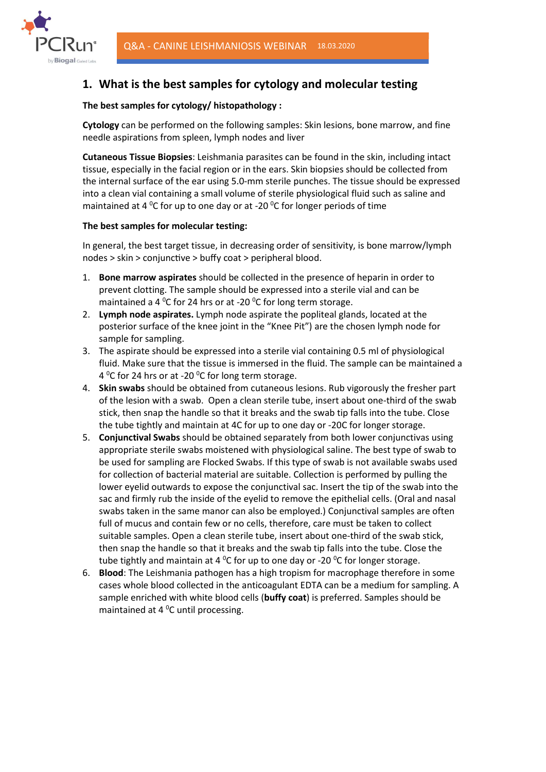

# 1. What is the best samples for cytology and molecular testing

## The best samples for cytology/ histopathology :

Cytology can be performed on the following samples: Skin lesions, bone marrow, and fine needle aspirations from spleen, lymph nodes and liver

Cutaneous Tissue Biopsies: Leishmania parasites can be found in the skin, including intact tissue, especially in the facial region or in the ears. Skin biopsies should be collected from the internal surface of the ear using 5.0-mm sterile punches. The tissue should be expressed into a clean vial containing a small volume of sterile physiological fluid such as saline and maintained at 4  $\rm{^0C}$  for up to one day or at -20  $\rm{^0C}$  for longer periods of time

### The best samples for molecular testing:

In general, the best target tissue, in decreasing order of sensitivity, is bone marrow/lymph nodes > skin > conjunctive > buffy coat > peripheral blood.

- 1. Bone marrow aspirates should be collected in the presence of heparin in order to prevent clotting. The sample should be expressed into a sterile vial and can be maintained a 4  $^{0}$ C for 24 hrs or at -20  $^{0}$ C for long term storage.
- 2. Lymph node aspirates. Lymph node aspirate the popliteal glands, located at the posterior surface of the knee joint in the "Knee Pit") are the chosen lymph node for sample for sampling.
- 3. The aspirate should be expressed into a sterile vial containing 0.5 ml of physiological fluid. Make sure that the tissue is immersed in the fluid. The sample can be maintained a 4  $^{\circ}$ C for 24 hrs or at -20  $^{\circ}$ C for long term storage.
- 4. Skin swabs should be obtained from cutaneous lesions. Rub vigorously the fresher part of the lesion with a swab. Open a clean sterile tube, insert about one-third of the swab stick, then snap the handle so that it breaks and the swab tip falls into the tube. Close the tube tightly and maintain at 4C for up to one day or -20C for longer storage.
- 5. Conjunctival Swabs should be obtained separately from both lower conjunctivas using appropriate sterile swabs moistened with physiological saline. The best type of swab to be used for sampling are Flocked Swabs. If this type of swab is not available swabs used for collection of bacterial material are suitable. Collection is performed by pulling the lower eyelid outwards to expose the conjunctival sac. Insert the tip of the swab into the sac and firmly rub the inside of the eyelid to remove the epithelial cells. (Oral and nasal swabs taken in the same manor can also be employed.) Conjunctival samples are often full of mucus and contain few or no cells, therefore, care must be taken to collect suitable samples. Open a clean sterile tube, insert about one-third of the swab stick, then snap the handle so that it breaks and the swab tip falls into the tube. Close the tube tightly and maintain at 4 <sup>o</sup>C for up to one day or -20 <sup>o</sup>C for longer storage.
- 6. Blood: The Leishmania pathogen has a high tropism for macrophage therefore in some cases whole blood collected in the anticoagulant EDTA can be a medium for sampling. A sample enriched with white blood cells (buffy coat) is preferred. Samples should be maintained at 4 $\mathrm{^0C}$  until processing.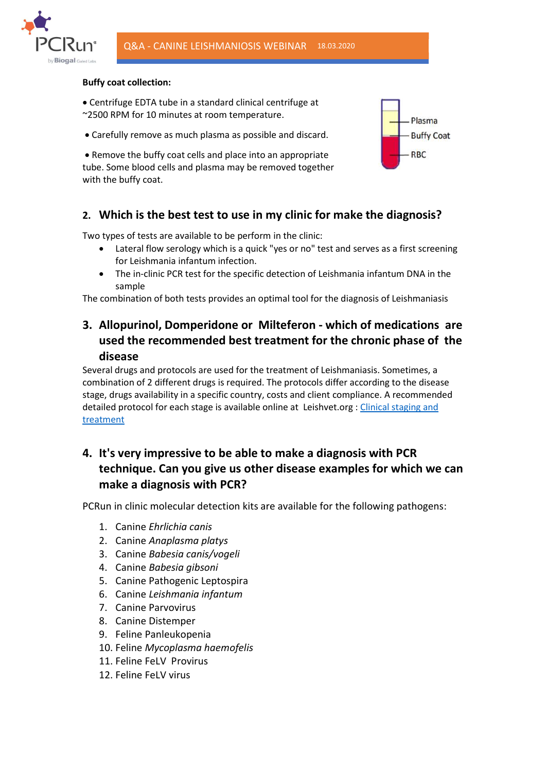

#### Buffy coat collection:

- Centrifuge EDTA tube in a standard clinical centrifuge at ~2500 RPM for 10 minutes at room temperature.
- Carefully remove as much plasma as possible and discard.

 Remove the buffy coat cells and place into an appropriate tube. Some blood cells and plasma may be removed together with the buffy coat.



## 2. Which is the best test to use in my clinic for make the diagnosis?

Two types of tests are available to be perform in the clinic:

- Lateral flow serology which is a quick "yes or no" test and serves as a first screening for Leishmania infantum infection.
- The in-clinic PCR test for the specific detection of Leishmania infantum DNA in the sample

The combination of both tests provides an optimal tool for the diagnosis of Leishmaniasis

## 3. Allopurinol, Domperidone or Milteferon - which of medications are used the recommended best treatment for the chronic phase of the disease

Several drugs and protocols are used for the treatment of Leishmaniasis. Sometimes, a combination of 2 different drugs is required. The protocols differ according to the disease stage, drugs availability in a specific country, costs and client compliance. A recommended detailed protocol for each stage is available online at Leishvet.org : Clinical staging and treatment

# 4. It's very impressive to be able to make a diagnosis with PCR technique. Can you give us other disease examples for which we can make a diagnosis with PCR?

PCRun in clinic molecular detection kits are available for the following pathogens:

- 1. Canine Ehrlichia canis
- 2. Canine Anaplasma platys
- 3. Canine Babesia canis/vogeli
- 4. Canine Babesia gibsoni
- 5. Canine Pathogenic Leptospira
- 6. Canine Leishmania infantum
- 7. Canine Parvovirus
- 8. Canine Distemper
- 9. Feline Panleukopenia
- 10. Feline Mycoplasma haemofelis
- 11. Feline FeLV Provirus
- 12. Feline FeLV virus